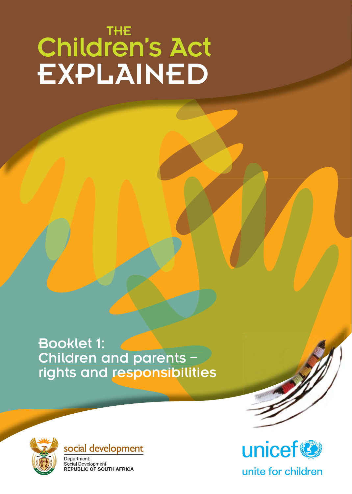# Children's Act EXPLAINED THE

Booklet 1: 1: Children and parents – rights and responsibilities





Department: Social Development REPUBLIC OF SOUTH AFRICA





unite for children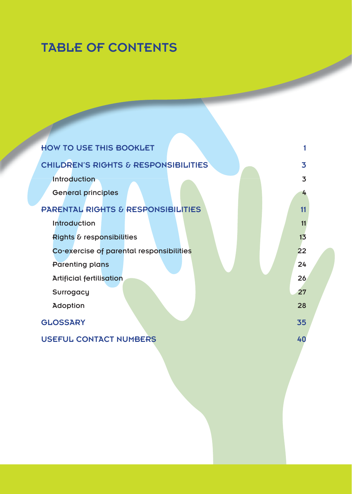# TABLE OF CONTENTS

| <b>HOW TO USE THIS BOOKLET</b>                |    |
|-----------------------------------------------|----|
| CHILDREN'S RIGHTS & RESPONSIBILITIES          | 3  |
| Introduction                                  | 3  |
| <b>General principles</b>                     | 4  |
| <b>PARENTAL RIGHTS &amp; RESPONSIBILITIES</b> | 11 |
| <b>Introduction</b>                           | 11 |
| Rights & responsibilities                     | 13 |
| Co-exercise of parental responsibilities      | 22 |
| <b>Parenting plans</b>                        | 24 |
| <b>Artificial fertilisation</b>               | 26 |
| Surrogacy                                     | 27 |
| Adoption                                      | 28 |
| <b>GLOSSARY</b>                               | 35 |
| <b>USEFUL CONTACT NUMBERS</b>                 | 40 |
|                                               |    |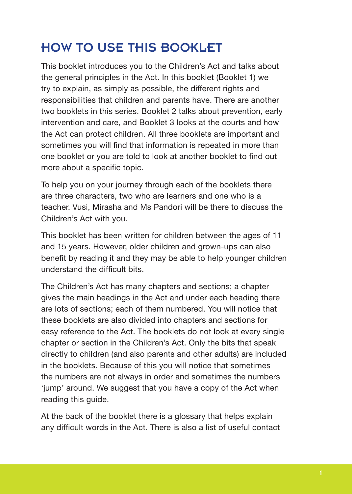# HOW TO USE THIS BOOKLET

This booklet introduces you to the Children's Act and talks about the general principles in the Act. In this booklet (Booklet 1) we try to explain, as simply as possible, the different rights and responsibilities that children and parents have. There are another two booklets in this series. Booklet 2 talks about prevention, early intervention and care, and Booklet 3 looks at the courts and how the Act can protect children. All three booklets are important and sometimes you will find that information is repeated in more than one booklet or you are told to look at another booklet to find out more about a specific topic.

To help you on your journey through each of the booklets there are three characters, two who are learners and one who is a teacher. Vusi, Mirasha and Ms Pandori will be there to discuss the Children's Act with you.

This booklet has been written for children between the ages of 11 and 15 years. However, older children and grown-ups can also benefit by reading it and they may be able to help younger children understand the difficult bits.

The Children's Act has many chapters and sections; a chapter gives the main headings in the Act and under each heading there are lots of sections; each of them numbered. You will notice that these booklets are also divided into chapters and sections for easy reference to the Act. The booklets do not look at every single chapter or section in the Children's Act. Only the bits that speak directly to children (and also parents and other adults) are included in the booklets. Because of this you will notice that sometimes the numbers are not always in order and sometimes the numbers 'jump' around. We suggest that you have a copy of the Act when reading this guide.

At the back of the booklet there is a glossary that helps explain any difficult words in the Act. There is also a list of useful contact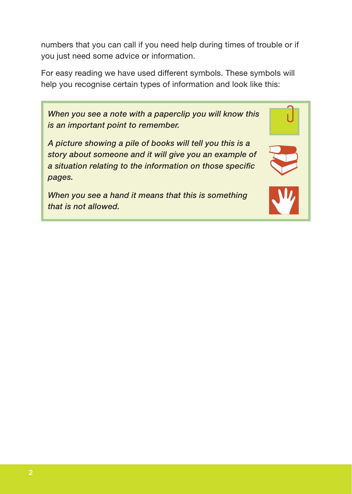numbers that you can call if you need help during times of trouble or if you just need some advice or information.

For easy reading we have used different symbols. These symbols will help you recognise certain types of information and look like this:

*When you see a note with a paperclip you will know this is an important point to remember.*

*A picture showing a pile of books will tell you this is a story about someone and it will give you an example of a situation relating to the information on those specific pages.*

*When you see a hand it means that this is something that is not allowed.*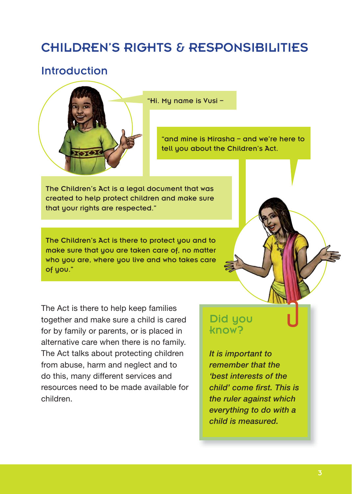# CHILDREN'S RIGHTS & RESPONSIBILITIES

### Introduction



"Hi. My name is Vusi –

"and mine is Mirasha – and we're here to tell you about the Children's Act.

The Children's Act is a legal document that was created to help protect children and make sure that your rights are respected."

The Children's Act is there to protect you and to make sure that you are taken care of, no matter who you are, where you live and who takes care of you."

The Act is there to help keep families together and make sure a child is cared for by family or parents, or is placed in alternative care when there is no family. The Act talks about protecting children from abuse, harm and neglect and to do this, many different services and resources need to be made available for children.

### Did you know?

*It is important to remember that the 'best interests of the child' come first. This is the ruler against which everything to do with a child is measured.*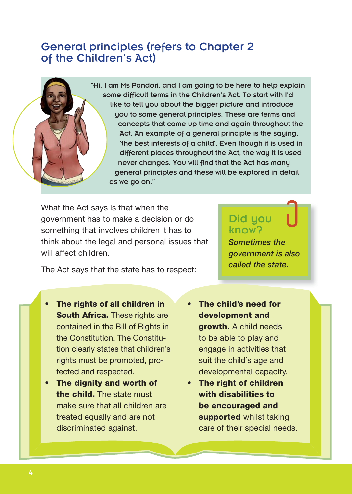### General principles (refers to Chapter 2 of the Children's Act)

"Hi. I am Ms Pandori, and I am going to be here to help explain some difficult terms in the Children's Act. To start with I'd like to tell you about the bigger picture and introduce you to some general principles. These are terms and concepts that come up time and again throughout the Act. An example of a general principle is the saying, 'the best interests of a child'. Even though it is used in different places throughout the Act, the way it is used never changes. You will find that the Act has many general principles and these will be explored in detail as we go on."

What the Act says is that when the government has to make a decision or do something that involves children it has to think about the legal and personal issues that will affect children.

#### Did you know?

*Sometimes the government is also called the state.*

The Act says that the state has to respect:

- **The rights of all children in South Africa.** These rights are contained in the Bill of Rights in the Constitution. The Constitution clearly states that children's rights must be promoted, protected and respected.
- **The dignity and worth of the child.** The state must make sure that all children are treated equally and are not discriminated against.
- **The child's need for development and growth.** A child needs to be able to play and engage in activities that suit the child's age and developmental capacity.
- **The right of children with disabilities to be encouraged and supported** whilst taking care of their special needs.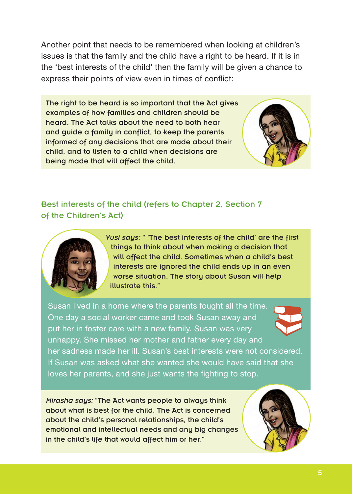Another point that needs to be remembered when looking at children's issues is that the family and the child have a right to be heard. If it is in the 'best interests of the child' then the family will be given a chance to express their points of view even in times of conflict:

The right to be heard is so important that the Act gives examples of how families and children should be heard. The Act talks about the need to both hear and guide a family in conflict, to keep the parents informed of any decisions that are made about their child, and to listen to a child when decisions are being made that will affect the child.



Best interests of the child (refers to Chapter 2, Section 7 of the Children's Act)



*Vusi says:* " 'The best interests of the child' are the first things to think about when making a decision that will affect the child. Sometimes when a child's best interests are janored the child ends up in an even worse situation. The story about Susan will help illustrate this."

Susan lived in a home where the parents fought all the time. One day a social worker came and took Susan away and put her in foster care with a new family. Susan was very unhappy. She missed her mother and father every day and her sadness made her ill. Susan's best interests were not considered. If Susan was asked what she wanted she would have said that she loves her parents, and she just wants the fighting to stop.

*Mirasha says:* "The Act wants people to always think about what is best for the child. The Act is concerned about the child's personal relationships, the child's emotional and intellectual needs and any big changes in the child's life that would affect him or her."

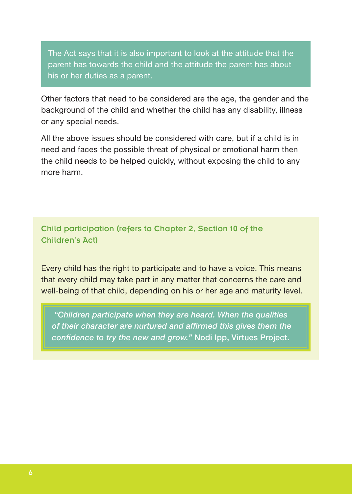The Act says that it is also important to look at the attitude that the parent has towards the child and the attitude the parent has about his or her duties as a parent.

Other factors that need to be considered are the age, the gender and the background of the child and whether the child has any disability, illness or any special needs.

All the above issues should be considered with care, but if a child is in need and faces the possible threat of physical or emotional harm then the child needs to be helped quickly, without exposing the child to any more harm.

Child participation (refers to Chapter 2, Section 10 of the Children's Act)

Every child has the right to participate and to have a voice. This means that every child may take part in any matter that concerns the care and well-being of that child, depending on his or her age and maturity level.

 *"Children participate when they are heard. When the qualities of their character are nurtured and affirmed this gives them the confidence to try the new and grow."* **Nodi Ipp, Virtues Project.**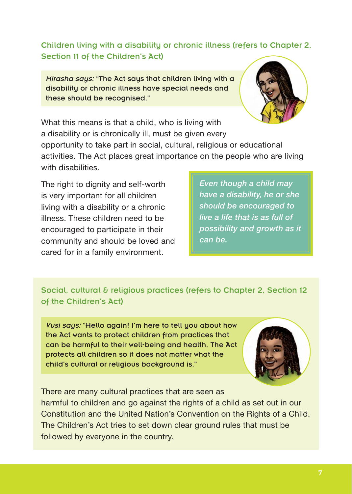Children living with a disability or chronic illness (refers to Chapter 2, Section 11 of the Children's Act)

*Mirasha says:* "The Act says that children living with a disability or chronic illness have special needs and these should be recognised."



What this means is that a child, who is living with a disability or is chronically ill, must be given every opportunity to take part in social, cultural, religious or educational activities. The Act places great importance on the people who are living with disabilities.

The right to dignity and self-worth is very important for all children living with a disability or a chronic illness. These children need to be encouraged to participate in their community and should be loved and cared for in a family environment.

*Even though a child may have a disability, he or she should be encouraged to live a life that is as full of possibility and growth as it can be.*

Social, cultural & religious practices (refers to Chapter 2, Section 12 of the Children's Act)

*Vusi says:* "Hello again! I'm here to tell you about how the Act wants to protect children from practices that can be harmful to their well-being and health. The Act protects all children so it does not matter what the child's cultural or religious background is."



There are many cultural practices that are seen as harmful to children and go against the rights of a child as set out in our Constitution and the United Nation's Convention on the Rights of a Child. The Children's Act tries to set down clear ground rules that must be followed by everyone in the country.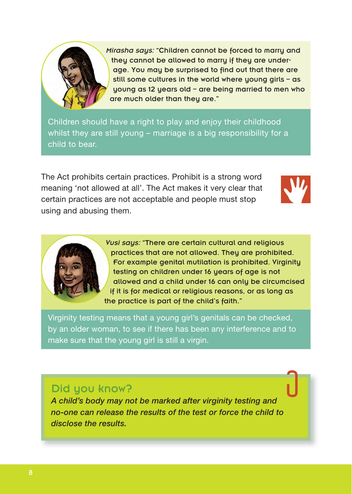

*Mirasha says:* "Children cannot be forced to marry and they cannot be allowed to marry if they are underage. You may be surprised to find out that there are still some cultures in the world where young girls – as young as 12 years old – are being married to men who are much older than they are."

Children should have a right to play and enjoy their childhood whilst they are still young – marriage is a big responsibility for a child to bear.

The Act prohibits certain practices. Prohibit is a strong word meaning 'not allowed at all'. The Act makes it very clear that certain practices are not acceptable and people must stop using and abusing them.





*Vusi says:* "There are certain cultural and religious practices that are not allowed. They are prohibited. For example genital mutilation is prohibited. Virginity testing on children under 16 years of age is not allowed and a child under 16 can only be circumcised if it is for medical or religious reasons, or as long as the practice is part of the child's faith."

Virginity testing means that a young girl's genitals can be checked, by an older woman, to see if there has been any interference and to make sure that the young girl is still a virgin.

#### Did you know?

*A child's body may not be marked after virginity testing and no-one can release the results of the test or force the child to disclose the results.*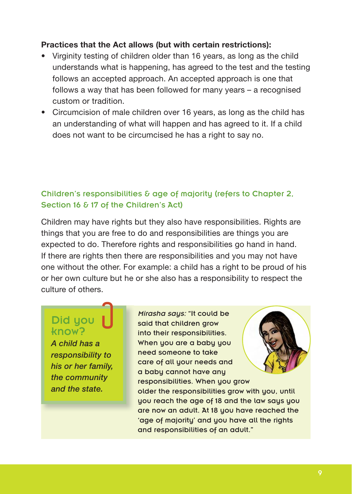#### **Practices that the Act allows (but with certain restrictions):**

- Virginity testing of children older than 16 years, as long as the child understands what is happening, has agreed to the test and the testing follows an accepted approach. An accepted approach is one that follows a way that has been followed for many years – a recognised custom or tradition.
- Circumcision of male children over 16 years, as long as the child has an understanding of what will happen and has agreed to it. If a child does not want to be circumcised he has a right to say no.

#### Children's responsibilities & age of majority (refers to Chapter 2, Section 16 & 17 of the Children's Act)

Children may have rights but they also have responsibilities. Rights are things that you are free to do and responsibilities are things you are expected to do. Therefore rights and responsibilities go hand in hand. If there are rights then there are responsibilities and you may not have one without the other. For example: a child has a right to be proud of his or her own culture but he or she also has a responsibility to respect the culture of others.

### Did you know?

*A child has a responsibility to his or her family, the community and the state.*

*Mirasha says:* "It could be said that children grow into their responsibilities. When you are a baby you need someone to take care of all your needs and a baby cannot have any responsibilities. When you grow older the responsibilities grow with you, until you reach the age of 18 and the law says you are now an adult. At 18 you have reached the 'age of majority' and you have all the rights and responsibilities of an adult."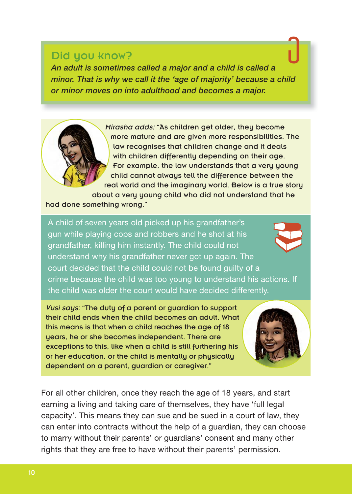#### Did you know?

*An adult is sometimes called a major and a child is called a minor. That is why we call it the 'age of majority' because a child or minor moves on into adulthood and becomes a major.*

> *Mirasha adds:* "As children get older, they become more mature and are given more responsibilities. The law recognises that children change and it deals with children differently depending on their age. For example, the law understands that a very young child cannot always tell the difference between the real world and the imaginary world. Below is a true story about a very young child who did not understand that he

had done something wrong."

A child of seven years old picked up his grandfather's gun while playing cops and robbers and he shot at his grandfather, killing him instantly. The child could not understand why his grandfather never got up again. The court decided that the child could not be found guilty of a crime because the child was too young to understand his actions. If the child was older the court would have decided differently.

*Vusi says:* "The duty of a parent or guardian to support their child ends when the child becomes an adult. What this means is that when a child reaches the age of 18 years, he or she becomes independent. There are exceptions to this, like when a child is still furthering his or her education, or the child is mentally or physically dependent on a parent, guardian or caregiver."



For all other children, once they reach the age of 18 years, and start earning a living and taking care of themselves, they have 'full legal capacity'. This means they can sue and be sued in a court of law, they can enter into contracts without the help of a guardian, they can choose to marry without their parents' or guardians' consent and many other rights that they are free to have without their parents' permission.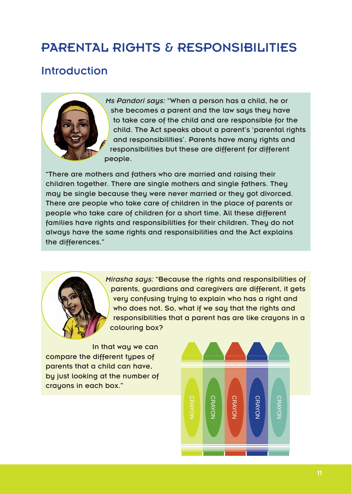# PARENTAL RIGHTS & RESPONSIBILITIES

### Introduction



*Ms Pandori says:* "When a person has a child, he or she becomes a parent and the law says they have to take care of the child and are responsible for the child. The Act speaks about a parent's 'parental rights and responsibilities'. Parents have many rights and responsibilities but these are different for different people.

"There are mothers and fathers who are married and raising their children together. There are single mothers and single fathers. They may be single because they were never married or they got divorced. There are people who take care of children in the place of parents or people who take care of children for a short time. All these different families have rights and responsibilities for their children. They do not always have the same rights and responsibilities and the Act explains the differences."



*Mirasha says:* "Because the rights and responsibilities of parents, guardians and caregivers are different, it gets very confusing trying to explain who has a right and who does not. So, what if we say that the rights and responsibilities that a parent has are like crayons in a colouring box?

In that way we can compare the different types of parents that a child can have, by just looking at the number of crayons in each box."

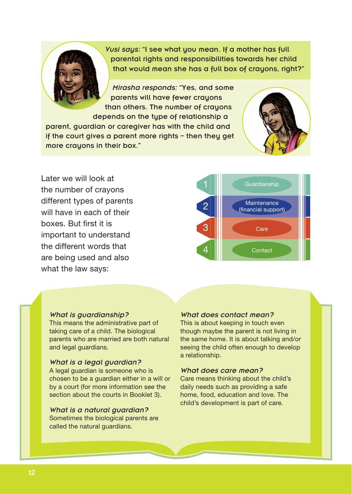*Vusi says:* "I see what you mean. If a mother has full parental rights and responsibilities towards her child that would mean she has a full box of crayons, right?"

*Mirasha responds:* "Yes, and some parents will have fewer crayons than others. The number of crayons depends on the type of relationship a parent, guardian or caregiver has with the child and if the court gives a parent more rights – then they get more crayons in their box."



Later we will look at the number of crayons different types of parents will have in each of their boxes. But first it is important to understand the different words that are being used and also what the law says:



#### *What is guardianship?*

This means the administrative part of taking care of a child. The biological parents who are married are both natural and legal guardians.

#### *What is a legal guardian?*

A legal guardian is someone who is chosen to be a guardian either in a will or by a court (for more information see the section about the courts in Booklet 3).

#### *What is a natural guardian?* Sometimes the biological parents are called the natural guardians.

#### *What does contact mean?*

This is about keeping in touch even though maybe the parent is not living in the same home. It is about talking and/or seeing the child often enough to develop a relationship.

#### *What does care mean?*

Care means thinking about the child's daily needs such as providing a safe home, food, education and love. The child's development is part of care.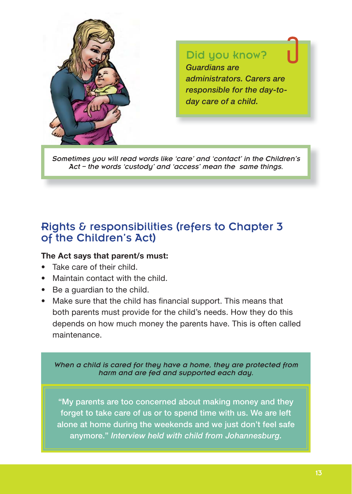

#### Did you know?

*Guardians are administrators. Carers are responsible for the day-today care of a child.*

*Sometimes you will read words like 'care' and 'contact' in the Children's Act – the words 'custody' and 'access' mean the same things.* 

### Rights & responsibilities (refers to Chapter 3 of the Children's Act)

#### **The Act says that parent/s must:**

- Take care of their child.
- **Maintain contact with the child.**
- $\bullet$  Be a guardian to the child.
- Make sure that the child has financial support. This means that both parents must provide for the child's needs. How they do this depends on how much money the parents have. This is often called maintenance.

*When a child is cared for they have a home, they are protected from harm and are fed and supported each day.*

**"My parents are too concerned about making money and they forget to take care of us or to spend time with us. We are left alone at home during the weekends and we just don't feel safe anymore."** *Interview held with child from Johannesburg.*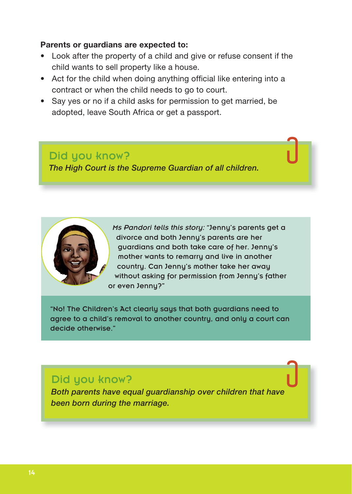#### **Parents or guardians are expected to:**

- Look after the property of a child and give or refuse consent if the child wants to sell property like a house.
- Act for the child when doing anything official like entering into a contract or when the child needs to go to court.
- Say yes or no if a child asks for permission to get married, be adopted, leave South Africa or get a passport.

Did you know? *The High Court is the Supreme Guardian of all children.*



"No! The Children's Act clearly says that both guardians need to agree to a child's removal to another country, and only a court can decide otherwise."

#### Did you know?

*Both parents have equal guardianship over children that have been born during the marriage.*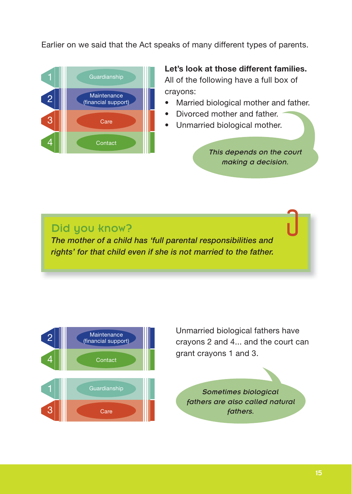Earlier on we said that the Act speaks of many different types of parents.



**Let's look at those different families.**  All of the following have a full box of crayons:

- Married biological mother and father.
- Divorced mother and father.
- Unmarried biological mother.

*This depends on the court making a decision.*

#### Did you know?

*The mother of a child has 'full parental responsibilities and rights' for that child even if she is not married to the father.*



Unmarried biological fathers have crayons 2 and 4... and the court can grant crayons 1 and 3.

*Sometimes biological fathers are also called natural fathers.*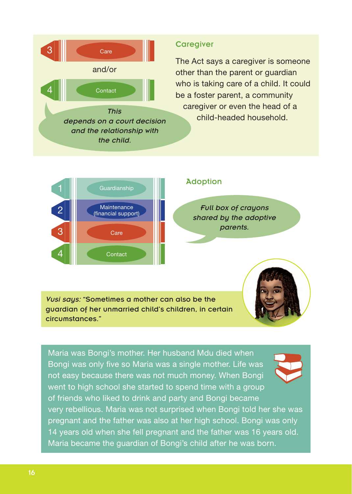

#### **Caregiver**

The Act says a caregiver is someone other than the parent or guardian who is taking care of a child. It could be a foster parent, a community caregiver or even the head of a child-headed household.



#### Adoption

*Full box of crayons shared by the adoptive parents.*

*Vusi says:* "Sometimes a mother can also be the guardian of her unmarried child's children, in certain circumstances."

Maria was Bongi's mother. Her husband Mdu died when Bongi was only five so Maria was a single mother. Life was not easy because there was not much money. When Bongi went to high school she started to spend time with a group of friends who liked to drink and party and Bongi became very rebellious. Maria was not surprised when Bongi told her she was pregnant and the father was also at her high school. Bongi was only 14 years old when she fell pregnant and the father was 16 years old.

Maria became the guardian of Bongi's child after he was born.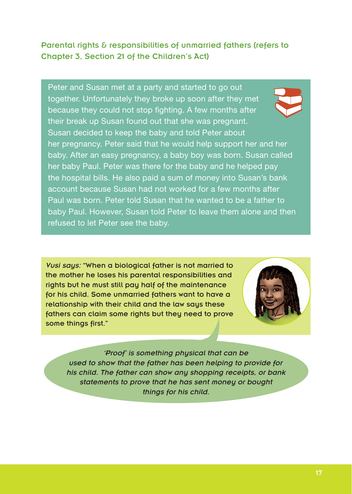#### Parental rights & responsibilities of unmarried fathers (refers to Chapter 3, Section 21 of the Children's Act)

Peter and Susan met at a party and started to go out together. Unfortunately they broke up soon after they met because they could not stop fighting. A few months after their break up Susan found out that she was pregnant. Susan decided to keep the baby and told Peter about her pregnancy. Peter said that he would help support her and her baby. After an easy pregnancy, a baby boy was born. Susan called her baby Paul. Peter was there for the baby and he helped pay the hospital bills. He also paid a sum of money into Susan's bank account because Susan had not worked for a few months after Paul was born. Peter told Susan that he wanted to be a father to baby Paul. However, Susan told Peter to leave them alone and then refused to let Peter see the baby.

*Vusi says:* "When a biological father is not married to the mother he loses his parental responsibilities and rights but he must still pay half of the maintenance for his child. Some unmarried fathers want to have a relationship with their child and the law says these fathers can claim some rights but they need to prove some things first."



*'Proof' is something physical that can be used to show that the father has been helping to provide for his child. The father can show any shopping receipts, or bank statements to prove that he has sent money or bought things for his child.*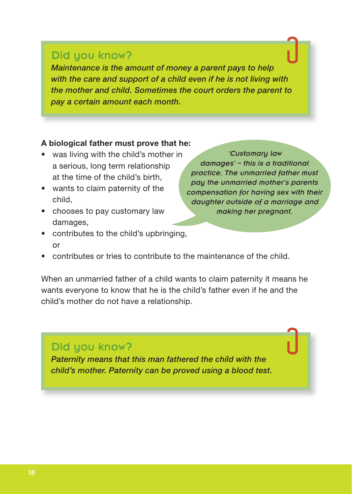#### Did you know?

*Maintenance is the amount of money a parent pays to help with the care and support of a child even if he is not living with the mother and child. Sometimes the court orders the parent to pay a certain amount each month.*

#### **A biological father must prove that he:**

- was living with the child's mother in a serious, long term relationship at the time of the child's birth,
- wants to claim paternity of the child,
- chooses to pay customary law damages,
- contributes to the child's upbringing, or

*'Customary law damages' – this is a traditional practice. The unmarried father must pay the unmarried mother's parents compensation for having sex with their daughter outside of a marriage and making her pregnant.* 

contributes or tries to contribute to the maintenance of the child.

When an unmarried father of a child wants to claim paternity it means he wants everyone to know that he is the child's father even if he and the child's mother do not have a relationship.

### Did you know?

*Paternity means that this man fathered the child with the child's mother. Paternity can be proved using a blood test.*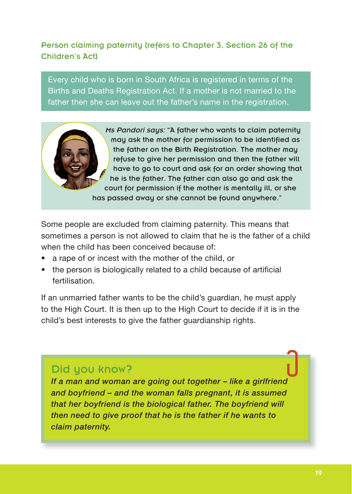#### Person claiming paternity (refers to Chapter 3, Section 26 of the Children's Act)

Every child who is born in South Africa is registered in terms of the Births and Deaths Registration Act. If a mother is not married to the father then she can leave out the father's name in the registration.

> *Ms Pandori says:* "A father who wants to claim paternity may ask the mother for permission to be identified as the father on the Birth Registration. The mother may refuse to give her permission and then the father will have to go to court and ask for an order showing that he is the father. The father can also go and ask the court for permission if the mother is mentally ill, or she has passed away or she cannot be found anywhere."

Some people are excluded from claiming paternity. This means that sometimes a person is not allowed to claim that he is the father of a child when the child has been conceived because of:

- a rape of or incest with the mother of the child, or
- the person is biologically related to a child because of artificial fertilisation.

If an unmarried father wants to be the child's guardian, he must apply to the High Court. It is then up to the High Court to decide if it is in the child's best interests to give the father guardianship rights.

### Did you know?

*If a man and woman are going out together – like a girlfriend and boyfriend – and the woman falls pregnant, it is assumed that her boyfriend is the biological father. The boyfriend will then need to give proof that he is the father if he wants to claim paternity.*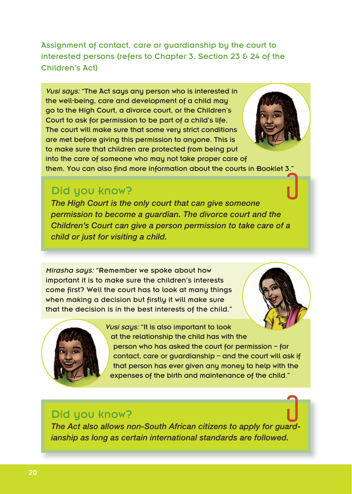Assignment of contact, care or guardianship by the court to interested persons (refers to Chapter 3, Section 23 & 24 of the Children's Act)

*Vusi says:* "The Act says any person who is interested in the well-being, care and development of a child may go to the High Court, a divorce court, or the Children's Court to ask for permission to be part of a child's life. The court will make sure that some very strict conditions are met before giving this permission to anyone. This is to make sure that children are protected from being put into the care of someone who may not take proper care of

them. You can also find more information about the courts in Booklet 3.

### Did you know?

*The High Court is the only court that can give someone permission to become a guardian. The divorce court and the Children's Court can give a person permission to take care of a child or just for visiting a child.*

*Mirasha says:* "Remember we spoke about how important it is to make sure the children's interests come first? Well the court has to look at many things when making a decision but firstly it will make sure that the decision is in the best interests of the child."





*Vusi says:* "It is also important to look at the relationship the child has with the person who has asked the court for permission – for contact, care or guardianship – and the court will ask if that person has ever given any money to help with the expenses of the birth and maintenance of the child."

#### Did you know?

*The Act also allows non-South African citizens to apply for guardianship as long as certain international standards are followed.*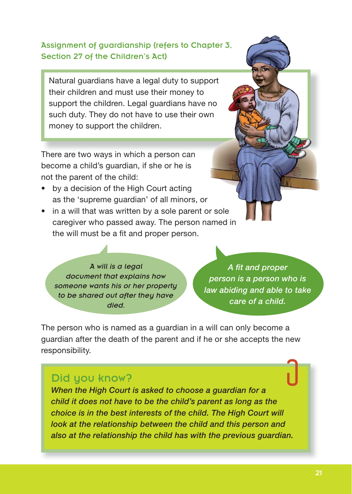#### Assignment of guardianship (refers to Chapter 3, Section 27 of the Children's Act)

Natural guardians have a legal duty to support their children and must use their money to support the children. Legal guardians have no such duty. They do not have to use their own money to support the children.

There are two ways in which a person can become a child's guardian, if she or he is not the parent of the child:

- by a decision of the High Court acting as the 'supreme guardian' of all minors, or
- in a will that was written by a sole parent or sole caregiver who passed away. The person named in the will must be a fit and proper person.

*A will is a legal document that explains how someone wants his or her property to be shared out after they have died.* 

*A fit and proper person is a person who is law abiding and able to take care of a child.* 

The person who is named as a guardian in a will can only become a guardian after the death of the parent and if he or she accepts the new responsibility.

### Did you know?

*When the High Court is asked to choose a guardian for a child it does not have to be the child's parent as long as the choice is in the best interests of the child. The High Court will look at the relationship between the child and this person and also at the relationship the child has with the previous guardian.*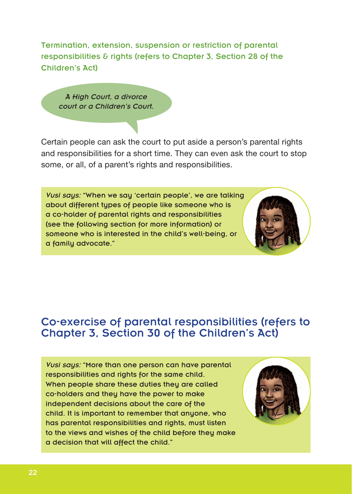Termination, extension, suspension or restriction of parental responsibilities & rights (refers to Chapter 3, Section 28 of the Children's Act)

*A High Court, a divorce court or a Children's Court.* 

Certain people can ask the court to put aside a person's parental rights and responsibilities for a short time. They can even ask the court to stop some, or all, of a parent's rights and responsibilities.

*Vusi says:* "When we say 'certain people', we are talking about different types of people like someone who is a co-holder of parental rights and responsibilities (see the following section for more information) or someone who is interested in the child's well-being, or a family advocate."



### Co-exercise of parental responsibilities (refers to Chapter 3, Section 30 of the Children's Act)

*Vusi says:* "More than one person can have parental responsibilities and rights for the same child. When people share these duties they are called co-holders and they have the power to make independent decisions about the care of the child. It is important to remember that anyone, who has parental responsibilities and rights, must listen to the views and wishes of the child before they make a decision that will affect the child."

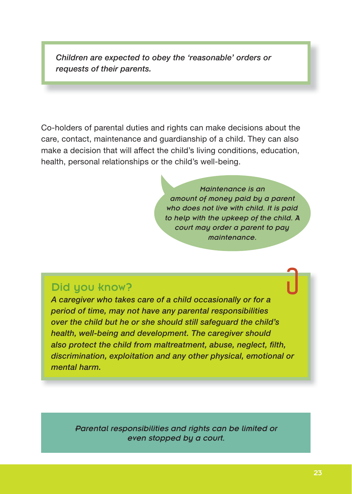*Children are expected to obey the 'reasonable' orders or requests of their parents.*

Co-holders of parental duties and rights can make decisions about the care, contact, maintenance and guardianship of a child. They can also make a decision that will affect the child's living conditions, education, health, personal relationships or the child's well-being.

> *Maintenance is an amount of money paid by a parent who does not live with child. It is paid to help with the upkeep of the child. A court may order a parent to pay maintenance.*

### Did you know?

*A caregiver who takes care of a child occasionally or for a period of time, may not have any parental responsibilities over the child but he or she should still safeguard the child's health, well-being and development. The caregiver should also protect the child from maltreatment, abuse, neglect, filth, discrimination, exploitation and any other physical, emotional or mental harm.*

*Parental responsibilities and rights can be limited or even stopped by a court.*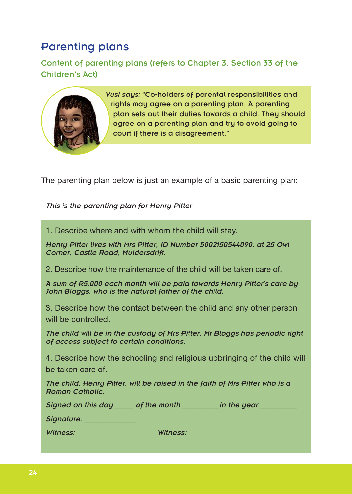### Parenting plans

Content of parenting plans (refers to Chapter 3, Section 33 of the Children's Act)



*Vusi saus:* "Co-holders of parental responsibilities and rights may agree on a parenting plan. A parenting plan sets out their duties towards a child. They should agree on a parenting plan and try to avoid going to court if there is a disagreement."

The parenting plan below is just an example of a basic parenting plan:

*This is the parenting plan for Henry Pitter* 

1. Describe where and with whom the child will stay.

*Henry Pitter lives with Mrs Pitter, ID Number 5002150544090, at 25 Owl Corner, Castle Road, Muldersdrift.*

2. Describe how the maintenance of the child will be taken care of.

*A sum of R5,000 each month will be paid towards Henry Pitter's care by John Bloggs, who is the natural father of the child.*

3. Describe how the contact between the child and any other person will be controlled.

*The child will be in the custody of Mrs Pitter. Mr Bloggs has periodic right of access subject to certain conditions.*

4. Describe how the schooling and religious upbringing of the child will be taken care of.

*The child, Henry Pitter, will be raised in the faith of Mrs Pitter who is a Roman Catholic.* 

*Signed on this day \_\_\_\_\_ of the month \_\_\_\_\_\_\_\_\_ in the year \_\_\_\_* 

*Signature: \_\_\_\_\_\_\_\_\_\_\_\_\_\_*

*Witness: \_\_\_\_\_\_\_\_\_\_\_\_\_\_\_\_ Witness: \_\_\_\_\_\_\_\_\_\_\_\_\_\_\_\_\_\_\_\_\_*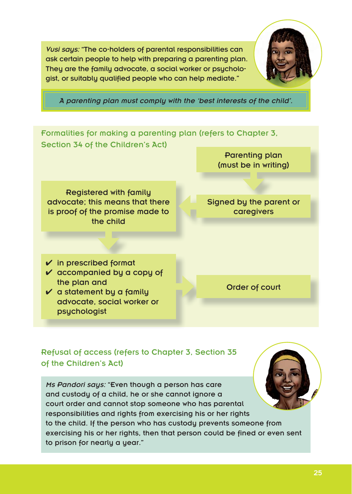*Vusi says:* "The co-holders of parental responsibilities can ask certain people to help with preparing a parenting plan. They are the family advocate, a social worker or psychologist, or suitably qualified people who can help mediate."



*A parenting plan must comply with the 'best interests of the child'.* 

Formalities for making a parenting plan (refers to Chapter 3, Section 34 of the Children's Act)

> Parenting plan (must be in writing)

**Registered with family** advocate; this means that there is proof of the promise made to the child

Signed by the parent or caregivers

 $\boldsymbol{\nu}$  in prescribed format

- $\vee$  accompanied by a copy of the plan and
- $\checkmark$  a statement by a family advocate, social worker or psychologist

Order of court

#### Refusal of access (refers to Chapter 3, Section 35 of the Children's Act)

*Ms Pandori says:* "Even though a person has care and custody of a child, he or she cannot ignore a court order and cannot stop someone who has parental responsibilities and rights from exercising his or her rights to the child. If the person who has custody prevents someone from exercising his or her rights, then that person could be fined or even sent to prison for nearly a year."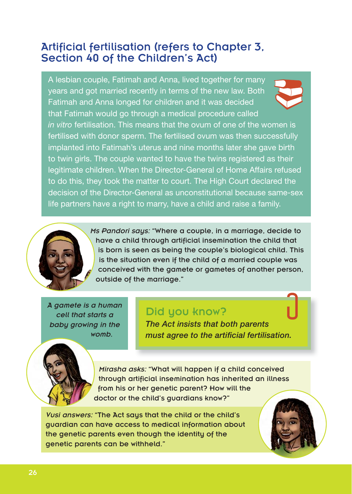### Artificial fertilisation (refers to Chapter 3, Section 40 of the Children's Act)

A lesbian couple, Fatimah and Anna, lived together for many years and got married recently in terms of the new law. Both Fatimah and Anna longed for children and it was decided that Fatimah would go through a medical procedure called



*in vitro* fertilisation. This means that the ovum of one of the women is fertilised with donor sperm. The fertilised ovum was then successfully implanted into Fatimah's uterus and nine months later she gave birth to twin girls. The couple wanted to have the twins registered as their legitimate children. When the Director-General of Home Affairs refused to do this, they took the matter to court. The High Court declared the decision of the Director-General as unconstitutional because same-sex life partners have a right to marry, have a child and raise a family.



*Ms Pandori says:* "Where a couple, in a marriage, decide to have a child through artificial insemination the child that is born is seen as being the couple's biological child. This is the situation even if the child of a married couple was conceived with the gamete or gametes of another person, outside of the marriage."

*A gamete is a human cell that starts a baby growing in the womb.* 

### Did you know?

*The Act insists that both parents must agree to the artificial fertilisation.*

*Mirasha asks:* "What will happen if a child conceived through artificial insemination has inherited an illness from his or her genetic parent? How will the doctor or the child's guardians know?"

*Vusi answers:* "The Act says that the child or the child's guardian can have access to medical information about the genetic parents even though the identity of the genetic parents can be withheld."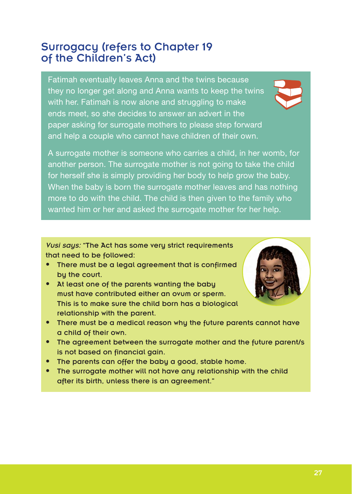### Surrogacy (refers to Chapter 19 of the Children's Act)

Fatimah eventually leaves Anna and the twins because they no longer get along and Anna wants to keep the twins with her. Fatimah is now alone and struggling to make ends meet, so she decides to answer an advert in the paper asking for surrogate mothers to please step forward and help a couple who cannot have children of their own.

A surrogate mother is someone who carries a child, in her womb, for another person. The surrogate mother is not going to take the child for herself she is simply providing her body to help grow the baby. When the baby is born the surrogate mother leaves and has nothing more to do with the child. The child is then given to the family who wanted him or her and asked the surrogate mother for her help.

*Vusi says:* "The Act has some very strict requirements that need to be followed:

- There must be a legal agreement that is confirmed by the court.
- At least one of the parents wanting the baby must have contributed either an ovum or sperm. This is to make sure the child born has a biological relationship with the parent.



- There must be a medical reason why the future parents cannot have a child of their own.
- The agreement between the surrogate mother and the future parent/s is not based on financial gain.
- The parents can offer the baby a good, stable home.
- The surrogate mother will not have any relationship with the child after its birth, unless there is an agreement."

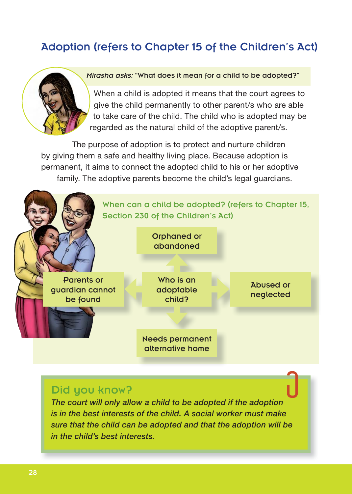## Adoption (refers to Chapter 15 of the Children's Act)



#### *Mirasha asks:* "What does it mean for a child to be adopted?"

When a child is adopted it means that the court agrees to give the child permanently to other parent/s who are able to take care of the child. The child who is adopted may be regarded as the natural child of the adoptive parent/s.

The purpose of adoption is to protect and nurture children by giving them a safe and healthy living place. Because adoption is permanent, it aims to connect the adopted child to his or her adoptive family. The adoptive parents become the child's legal guardians.



#### Did you know?

*The court will only allow a child to be adopted if the adoption is in the best interests of the child. A social worker must make sure that the child can be adopted and that the adoption will be in the child's best interests.*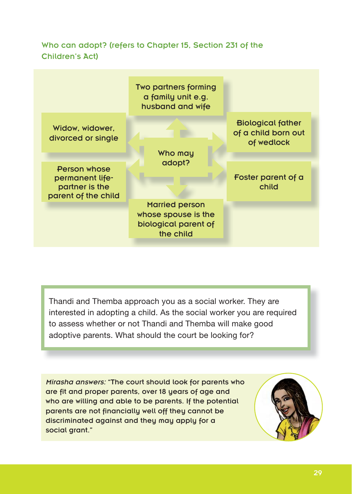#### Who can adopt? (refers to Chapter 15, Section 231 of the Children's Act)

|                                                                                 | Two partners forming<br>a family unit e.g.<br>husband and wife                    |                                                               |
|---------------------------------------------------------------------------------|-----------------------------------------------------------------------------------|---------------------------------------------------------------|
| Widow, widower,<br>divorced or single                                           | Who may                                                                           | <b>Biological father</b><br>of a child born out<br>of wedlock |
| <b>Person whose</b><br>permanent life-<br>partner is the<br>parent of the child | adopt?                                                                            | Foster parent of a<br>child                                   |
|                                                                                 | <b>Married person</b><br>whose spouse is the<br>biological parent of<br>the child |                                                               |

Thandi and Themba approach you as a social worker. They are interested in adopting a child. As the social worker you are required to assess whether or not Thandi and Themba will make good adoptive parents. What should the court be looking for?

*Mirasha answers:* "The court should look for parents who are fit and proper parents, over 18 years of age and who are willing and able to be parents. If the potential parents are not financially well off they cannot be discriminated against and they may apply for a social grant."

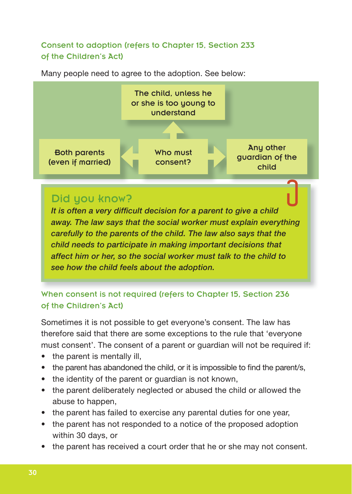#### Consent to adoption (refers to Chapter 15, Section 233 of the Children's Act)



Many people need to agree to the adoption. See below:

### Did you know?

*It is often a very difficult decision for a parent to give a child away. The law says that the social worker must explain everything carefully to the parents of the child. The law also says that the child needs to participate in making important decisions that affect him or her, so the social worker must talk to the child to see how the child feels about the adoption.*

When consent is not required (refers to Chapter 15, Section 236 of the Children's Act)

Sometimes it is not possible to get everyone's consent. The law has therefore said that there are some exceptions to the rule that 'everyone must consent'. The consent of a parent or guardian will not be required if:

- $\bullet$  the parent is mentally ill,
- the parent has abandoned the child, or it is impossible to find the parent/s,
- the identity of the parent or guardian is not known,
- the parent deliberately neglected or abused the child or allowed the abuse to happen,
- the parent has failed to exercise any parental duties for one year,
- the parent has not responded to a notice of the proposed adoption within 30 days, or
- the parent has received a court order that he or she may not consent.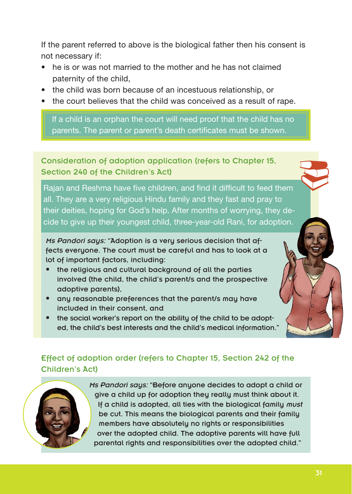If the parent referred to above is the biological father then his consent is not necessary if:

- $\bullet$  he is or was not married to the mother and he has not claimed paternity of the child,
- the child was born because of an incestuous relationship, or
- the court believes that the child was conceived as a result of rape.

If a child is an orphan the court will need proof that the child has no parents. The parent or parent's death certificates must be shown.

Consideration of adoption application (refers to Chapter 15, Section 240 of the Children's Act)

Rajan and Reshma have five children, and find it difficult to feed them all. They are a very religious Hindu family and they fast and pray to their deities, hoping for God's help. After months of worrying, they decide to give up their youngest child, three-year-old Rani, for adoption.

*Ms Pandori says:* "Adoption is a very serious decision that affects everyone. The court must be careful and has to look at a lot of important factors, including:

- the religious and cultural background of all the parties involved (the child, the child's parent/s and the prospective adoptive parents),
- any reasonable preferences that the parent/s may have included in their consent, and
- the social worker's report on the ability of the child to be adopted, the child's best interests and the child's medical information."

### Effect of adoption order (refers to Chapter 15, Section 242 of the Children's Act)

*Ms Pandori says:* "Before anyone decides to adopt a child or give a child up for adoption they really must think about it. If a child is adopted, all ties with the biological family *must* be cut. This means the biological parents and their family members have absolutely no rights or responsibilities over the adopted child. The adoptive parents will have full parental rights and responsibilities over the adopted child."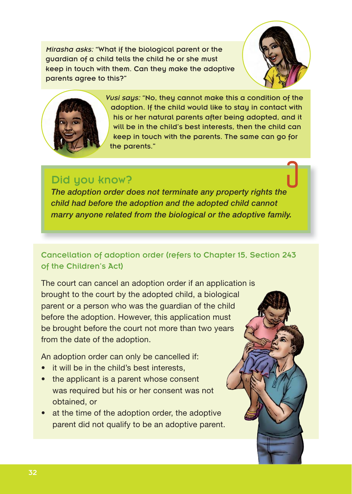*Mirasha asks:* "What if the biological parent or the guardian of a child tells the child he or she must keep in touch with them. Can they make the adoptive parents agree to this?"





*Vusi says:* "No, they cannot make this a condition of the adoption. If the child would like to stay in contact with his or her natural parents after being adopted, and it will be in the child's best interests, then the child can keep in touch with the parents. The same can go for the parents."

### Did you know?

*The adoption order does not terminate any property rights the child had before the adoption and the adopted child cannot marry anyone related from the biological or the adoptive family.*

#### Cancellation of adoption order (refers to Chapter 15, Section 243 of the Children's Act)

The court can cancel an adoption order if an application is brought to the court by the adopted child, a biological parent or a person who was the guardian of the child before the adoption. However, this application must be brought before the court not more than two years from the date of the adoption.

An adoption order can only be cancelled if:

- it will be in the child's best interests,
- the applicant is a parent whose consent was required but his or her consent was not obtained, or
- at the time of the adoption order, the adoptive parent did not qualify to be an adoptive parent.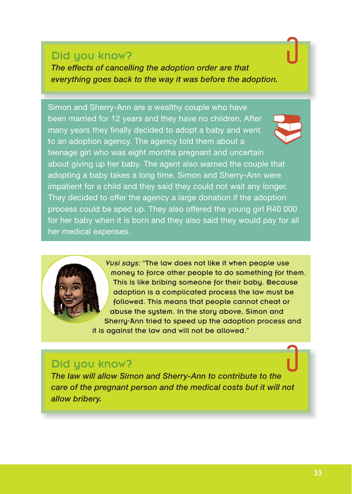#### Did you know?

*The effects of cancelling the adoption order are that everything goes back to the way it was before the adoption.*

Simon and Sherry-Ann are a wealthy couple who have been married for 12 years and they have no children. After many years they finally decided to adopt a baby and went to an adoption agency. The agency told them about a teenage girl who was eight months pregnant and uncertain about giving up her baby. The agent also warned the couple that adopting a baby takes a long time. Simon and Sherry-Ann were impatient for a child and they said they could not wait any longer. They decided to offer the agency a large donation if the adoption process could be sped up. They also offered the young girl R40 000 for her baby when it is born and they also said they would pay for all her medical expenses.

> *Vusi says:* "The law does not like it when people use money to force other people to do something for them. This is like bribing someone for their baby. Because adoption is a complicated process the law must be followed. This means that people cannot cheat or abuse the system. In the story above, Simon and Sherry-Ann tried to speed up the adoption process and it is against the law and will not be allowed."

#### Did you know?

*The law will allow Simon and Sherry-Ann to contribute to the care of the pregnant person and the medical costs but it will not allow bribery.*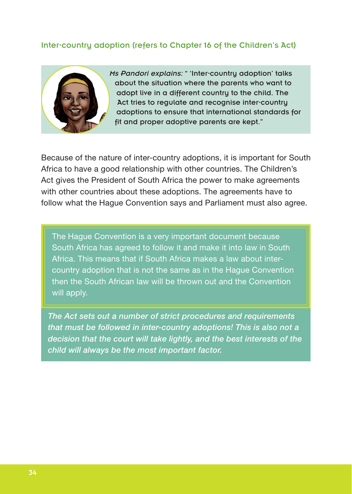#### Inter-country adoption (refers to Chapter 16 of the Children's Act)



*Ms Pandori explains:* " 'Inter-countru adoption' talks about the situation where the parents who want to adopt live in a different country to the child. The Act tries to regulate and recognise inter-countru adoptions to ensure that international standards for fit and proper adoptive parents are kept."

Because of the nature of inter-country adoptions, it is important for South Africa to have a good relationship with other countries. The Children's Act gives the President of South Africa the power to make agreements with other countries about these adoptions. The agreements have to follow what the Hague Convention says and Parliament must also agree.

The Hague Convention is a very important document because South Africa has agreed to follow it and make it into law in South Africa. This means that if South Africa makes a law about intercountry adoption that is not the same as in the Hague Convention then the South African law will be thrown out and the Convention will apply.

*The Act sets out a number of strict procedures and requirements that must be followed in inter-country adoptions! This is also not a decision that the court will take lightly, and the best interests of the child will always be the most important factor.*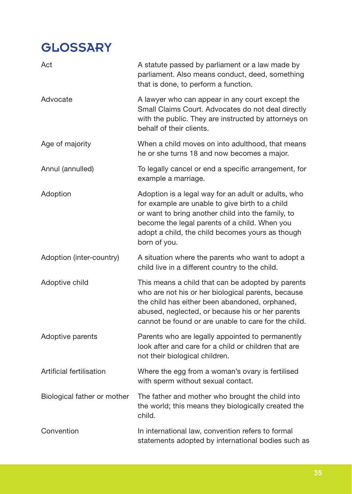# **GLOSSARY**

| Act                         | A statute passed by parliament or a law made by<br>parliament. Also means conduct, deed, something<br>that is done, to perform a function.                                                                                                                                        |
|-----------------------------|-----------------------------------------------------------------------------------------------------------------------------------------------------------------------------------------------------------------------------------------------------------------------------------|
| Advocate                    | A lawyer who can appear in any court except the<br>Small Claims Court. Advocates do not deal directly<br>with the public. They are instructed by attorneys on<br>behalf of their clients.                                                                                         |
| Age of majority             | When a child moves on into adulthood, that means<br>he or she turns 18 and now becomes a major.                                                                                                                                                                                   |
| Annul (annulled)            | To legally cancel or end a specific arrangement, for<br>example a marriage.                                                                                                                                                                                                       |
| Adoption                    | Adoption is a legal way for an adult or adults, who<br>for example are unable to give birth to a child<br>or want to bring another child into the family, to<br>become the legal parents of a child. When you<br>adopt a child, the child becomes yours as though<br>born of you. |
| Adoption (inter-country)    | A situation where the parents who want to adopt a<br>child live in a different country to the child.                                                                                                                                                                              |
| Adoptive child              | This means a child that can be adopted by parents<br>who are not his or her biological parents, because<br>the child has either been abandoned, orphaned,<br>abused, neglected, or because his or her parents<br>cannot be found or are unable to care for the child.             |
| Adoptive parents            | Parents who are legally appointed to permanently<br>look after and care for a child or children that are<br>not their biological children.                                                                                                                                        |
| Artificial fertilisation    | Where the egg from a woman's ovary is fertilised<br>with sperm without sexual contact.                                                                                                                                                                                            |
| Biological father or mother | The father and mother who brought the child into<br>the world; this means they biologically created the<br>child.                                                                                                                                                                 |
| Convention                  | In international law, convention refers to formal<br>statements adopted by international bodies such as                                                                                                                                                                           |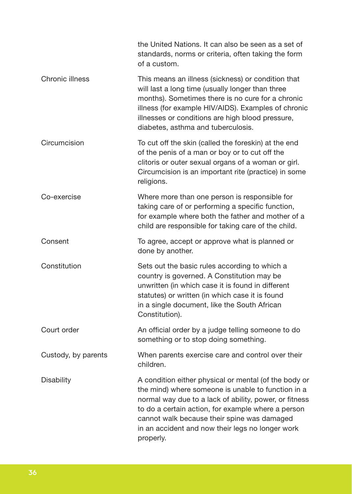|                     | the United Nations. It can also be seen as a set of<br>standards, norms or criteria, often taking the form<br>of a custom.                                                                                                                                                                                                                  |
|---------------------|---------------------------------------------------------------------------------------------------------------------------------------------------------------------------------------------------------------------------------------------------------------------------------------------------------------------------------------------|
| Chronic illness     | This means an illness (sickness) or condition that<br>will last a long time (usually longer than three<br>months). Sometimes there is no cure for a chronic<br>illness (for example HIV/AIDS). Examples of chronic<br>illnesses or conditions are high blood pressure,<br>diabetes, asthma and tuberculosis.                                |
| Circumcision        | To cut off the skin (called the foreskin) at the end<br>of the penis of a man or boy or to cut off the<br>clitoris or outer sexual organs of a woman or girl.<br>Circumcision is an important rite (practice) in some<br>religions.                                                                                                         |
| Co-exercise         | Where more than one person is responsible for<br>taking care of or performing a specific function,<br>for example where both the father and mother of a<br>child are responsible for taking care of the child.                                                                                                                              |
| Consent             | To agree, accept or approve what is planned or<br>done by another.                                                                                                                                                                                                                                                                          |
| Constitution        | Sets out the basic rules according to which a<br>country is governed. A Constitution may be<br>unwritten (in which case it is found in different<br>statutes) or written (in which case it is found<br>in a single document, like the South African<br>Constitution).                                                                       |
| Court order         | An official order by a judge telling someone to do<br>something or to stop doing something.                                                                                                                                                                                                                                                 |
| Custody, by parents | When parents exercise care and control over their<br>children.                                                                                                                                                                                                                                                                              |
| Disability          | A condition either physical or mental (of the body or<br>the mind) where someone is unable to function in a<br>normal way due to a lack of ability, power, or fitness<br>to do a certain action, for example where a person<br>cannot walk because their spine was damaged<br>in an accident and now their legs no longer work<br>properly. |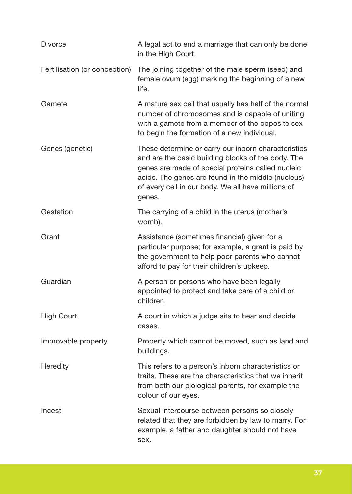| Divorce                       | A legal act to end a marriage that can only be done<br>in the High Court.                                                                                                                                                                                                            |
|-------------------------------|--------------------------------------------------------------------------------------------------------------------------------------------------------------------------------------------------------------------------------------------------------------------------------------|
| Fertilisation (or conception) | The joining together of the male sperm (seed) and<br>female ovum (egg) marking the beginning of a new<br>life.                                                                                                                                                                       |
| Gamete                        | A mature sex cell that usually has half of the normal<br>number of chromosomes and is capable of uniting<br>with a gamete from a member of the opposite sex<br>to begin the formation of a new individual.                                                                           |
| Genes (genetic)               | These determine or carry our inborn characteristics<br>and are the basic building blocks of the body. The<br>genes are made of special proteins called nucleic<br>acids. The genes are found in the middle (nucleus)<br>of every cell in our body. We all have millions of<br>genes. |
| Gestation                     | The carrying of a child in the uterus (mother's<br>womb).                                                                                                                                                                                                                            |
| Grant                         | Assistance (sometimes financial) given for a<br>particular purpose; for example, a grant is paid by<br>the government to help poor parents who cannot<br>afford to pay for their children's upkeep.                                                                                  |
| Guardian                      | A person or persons who have been legally<br>appointed to protect and take care of a child or<br>children.                                                                                                                                                                           |
| <b>High Court</b>             | A court in which a judge sits to hear and decide<br>cases.                                                                                                                                                                                                                           |
| Immovable property            | Property which cannot be moved, such as land and<br>buildings.                                                                                                                                                                                                                       |
| Heredity                      | This refers to a person's inborn characteristics or<br>traits. These are the characteristics that we inherit<br>from both our biological parents, for example the<br>colour of our eyes.                                                                                             |
| Incest                        | Sexual intercourse between persons so closely<br>related that they are forbidden by law to marry. For<br>example, a father and daughter should not have<br>sex.                                                                                                                      |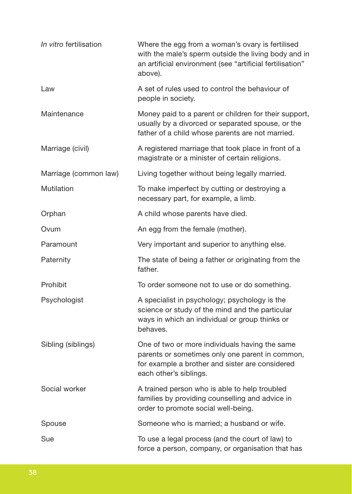| In vitro fertilisation | Where the egg from a woman's ovary is fertilised<br>with the male's sperm outside the living body and in<br>an artificial environment (see "artificial fertilisation"<br>above). |
|------------------------|----------------------------------------------------------------------------------------------------------------------------------------------------------------------------------|
| Law                    | A set of rules used to control the behaviour of<br>people in society.                                                                                                            |
| Maintenance            | Money paid to a parent or children for their support,<br>usually by a divorced or separated spouse, or the<br>father of a child whose parents are not married.                   |
| Marriage (civil)       | A registered marriage that took place in front of a<br>magistrate or a minister of certain religions.                                                                            |
| Marriage (common law)  | Living together without being legally married.                                                                                                                                   |
| Mutilation             | To make imperfect by cutting or destroying a<br>necessary part, for example, a limb.                                                                                             |
| Orphan                 | A child whose parents have died.                                                                                                                                                 |
| Ovum                   | An egg from the female (mother).                                                                                                                                                 |
| Paramount              | Very important and superior to anything else.                                                                                                                                    |
| Paternity              | The state of being a father or originating from the<br>father.                                                                                                                   |
| Prohibit               | To order someone not to use or do something.                                                                                                                                     |
| Psychologist           | A specialist in psychology; psychology is the<br>science or study of the mind and the particular<br>ways in which an individual or group thinks or<br>behaves.                   |
| Sibling (siblings)     | One of two or more individuals having the same<br>parents or sometimes only one parent in common,<br>for example a brother and sister are considered<br>each other's siblings.   |
| Social worker          | A trained person who is able to help troubled<br>families by providing counselling and advice in<br>order to promote social well-being.                                          |
| Spouse                 | Someone who is married; a husband or wife.                                                                                                                                       |
| Sue                    | To use a legal process (and the court of law) to<br>force a person, company, or organisation that has                                                                            |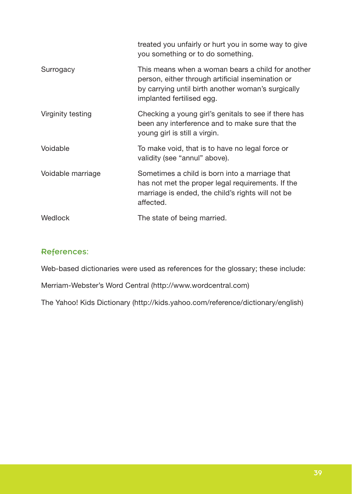|                   | treated you unfairly or hurt you in some way to give<br>you something or to do something.                                                                                                 |
|-------------------|-------------------------------------------------------------------------------------------------------------------------------------------------------------------------------------------|
| Surrogacy         | This means when a woman bears a child for another<br>person, either through artificial insemination or<br>by carrying until birth another woman's surgically<br>implanted fertilised egg. |
| Virginity testing | Checking a young girl's genitals to see if there has<br>been any interference and to make sure that the<br>young girl is still a virgin.                                                  |
| Voidable          | To make void, that is to have no legal force or<br>validity (see "annul" above).                                                                                                          |
| Voidable marriage | Sometimes a child is born into a marriage that<br>has not met the proper legal requirements. If the<br>marriage is ended, the child's rights will not be<br>affected.                     |
| Wedlock           | The state of being married.                                                                                                                                                               |

#### References:

Web-based dictionaries were used as references for the glossary; these include:

Merriam-Webster's Word Central (http://www.wordcentral.com)

The Yahoo! Kids Dictionary (http://kids.yahoo.com/reference/dictionary/english)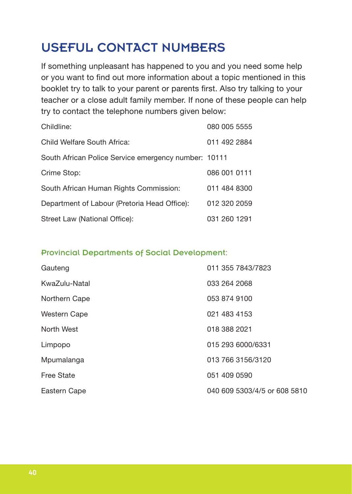# USEFUL CONTACT NUMBERS

If something unpleasant has happened to you and you need some help or you want to find out more information about a topic mentioned in this booklet try to talk to your parent or parents first. Also try talking to your teacher or a close adult family member. If none of these people can help try to contact the telephone numbers given below:

| Childline:                                           | 080 005 5555 |
|------------------------------------------------------|--------------|
| Child Welfare South Africa:                          | 011 492 2884 |
| South African Police Service emergency number: 10111 |              |
| Crime Stop:                                          | 086 001 0111 |
| South African Human Rights Commission:               | 011 484 8300 |
| Department of Labour (Pretoria Head Office):         | 012 320 2059 |
| Street Law (National Office):                        | 031 260 1291 |

#### Provincial Departments of Social Development:

| Gauteng           | 011 355 7843/7823            |
|-------------------|------------------------------|
| KwaZulu-Natal     | 033 264 2068                 |
| Northern Cape     | 053 874 9100                 |
| Western Cape      | 021 483 4153                 |
| North West        | 018 388 2021                 |
| Limpopo           | 015 293 6000/6331            |
| Mpumalanga        | 013 766 3156/3120            |
| <b>Free State</b> | 051 409 0590                 |
| Eastern Cape      | 040 609 5303/4/5 or 608 5810 |